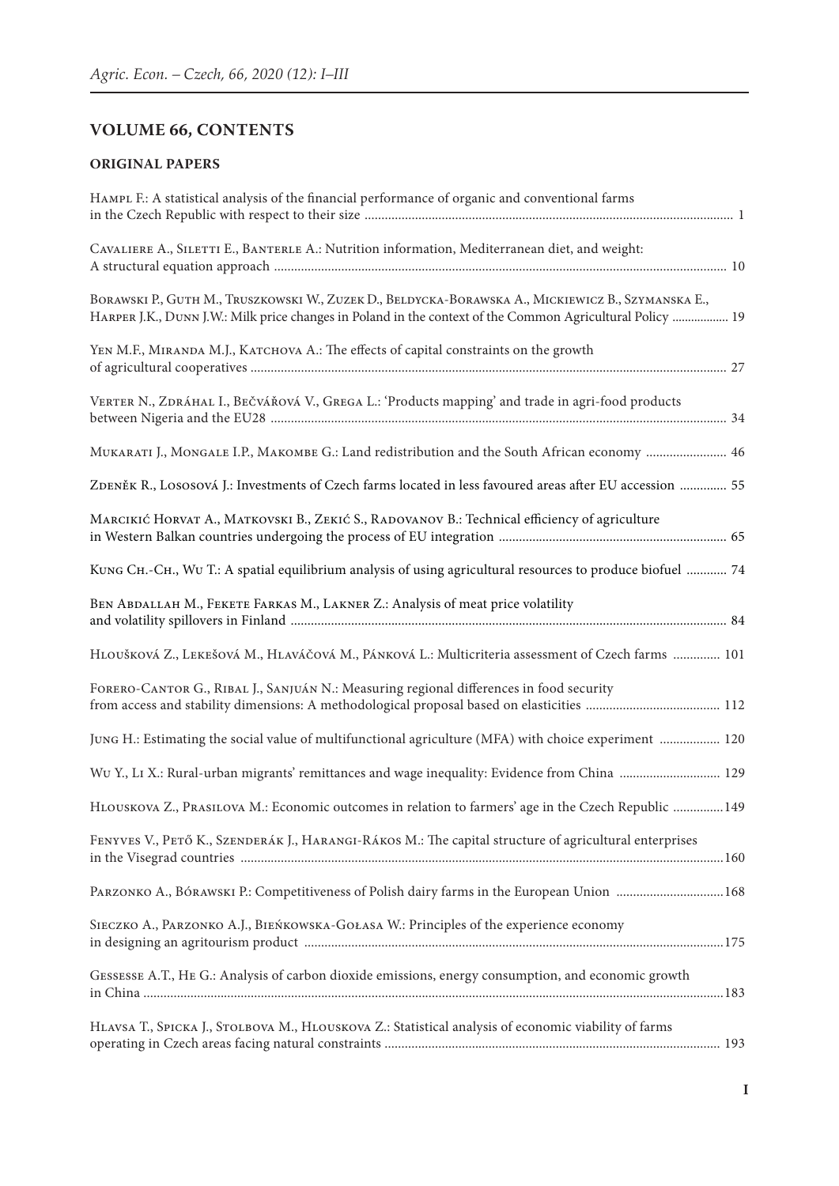## **VOLUME 66, CONTENTS**

## **ORIGINAL PAPERS**

| HAMPL F.: A statistical analysis of the financial performance of organic and conventional farms                                                                                                                 |  |
|-----------------------------------------------------------------------------------------------------------------------------------------------------------------------------------------------------------------|--|
| CAVALIERE A., SILETTI E., BANTERLE A.: Nutrition information, Mediterranean diet, and weight:                                                                                                                   |  |
| BORAWSKI P., GUTH M., TRUSZKOWSKI W., ZUZEK D., BELDYCKA-BORAWSKA A., MICKIEWICZ B., SZYMANSKA E.,<br>HARPER J.K., DUNN J.W.: Milk price changes in Poland in the context of the Common Agricultural Policy  19 |  |
| YEN M.F., MIRANDA M.J., KATCHOVA A.: The effects of capital constraints on the growth                                                                                                                           |  |
| VERTER N., ZDRÁHAL I., BEČVÁŘOVÁ V., GREGA L.: 'Products mapping' and trade in agri-food products                                                                                                               |  |
| MUKARATI J., MONGALE I.P., MAKOMBE G.: Land redistribution and the South African economy  46                                                                                                                    |  |
| ZDENĚK R., LOSOSOVÁ J.: Investments of Czech farms located in less favoured areas after EU accession  55                                                                                                        |  |
| MARCIKIĆ HORVAT A., MATKOVSKI B., ZEKIĆ S., RADOVANOV B.: Technical efficiency of agriculture                                                                                                                   |  |
| KUNG Сн.-Сн., WU Т.: A spatial equilibrium analysis of using agricultural resources to produce biofuel  74                                                                                                      |  |
| BEN ABDALLAH M., FEKETE FARKAS M., LAKNER Z.: Analysis of meat price volatility                                                                                                                                 |  |
| HLOUŠKOVÁ Z., LEKEŠOVÁ M., HLAVÁČOVÁ M., PÁNKOVÁ L.: Multicriteria assessment of Czech farms  101                                                                                                               |  |
| FORERO-CANTOR G., RIBAL J., SANJUÁN N.: Measuring regional differences in food security                                                                                                                         |  |
| JUNG H.: Estimating the social value of multifunctional agriculture (MFA) with choice experiment  120                                                                                                           |  |
| Wu Y., LI X.: Rural-urban migrants' remittances and wage inequality: Evidence from China  129                                                                                                                   |  |
| HLOUSKOVA Z., PRASILOVA M.: Economic outcomes in relation to farmers' age in the Czech Republic 149                                                                                                             |  |
| FENYVES V., PETŐ K., SZENDERÁK J., HARANGI-RÁKOS M.: The capital structure of agricultural enterprises                                                                                                          |  |
| PARZONKO A., BÓRAWSKI P.: Competitiveness of Polish dairy farms in the European Union 168                                                                                                                       |  |
| SIECZKO A., PARZONKO A.J., BIEŃKOWSKA-GOŁASA W.: Principles of the experience economy                                                                                                                           |  |
| GESSESSE A.T., HE G.: Analysis of carbon dioxide emissions, energy consumption, and economic growth                                                                                                             |  |
| HLAVSA T., SPICKA J., STOLBOVA M., HLOUSKOVA Z.: Statistical analysis of economic viability of farms                                                                                                            |  |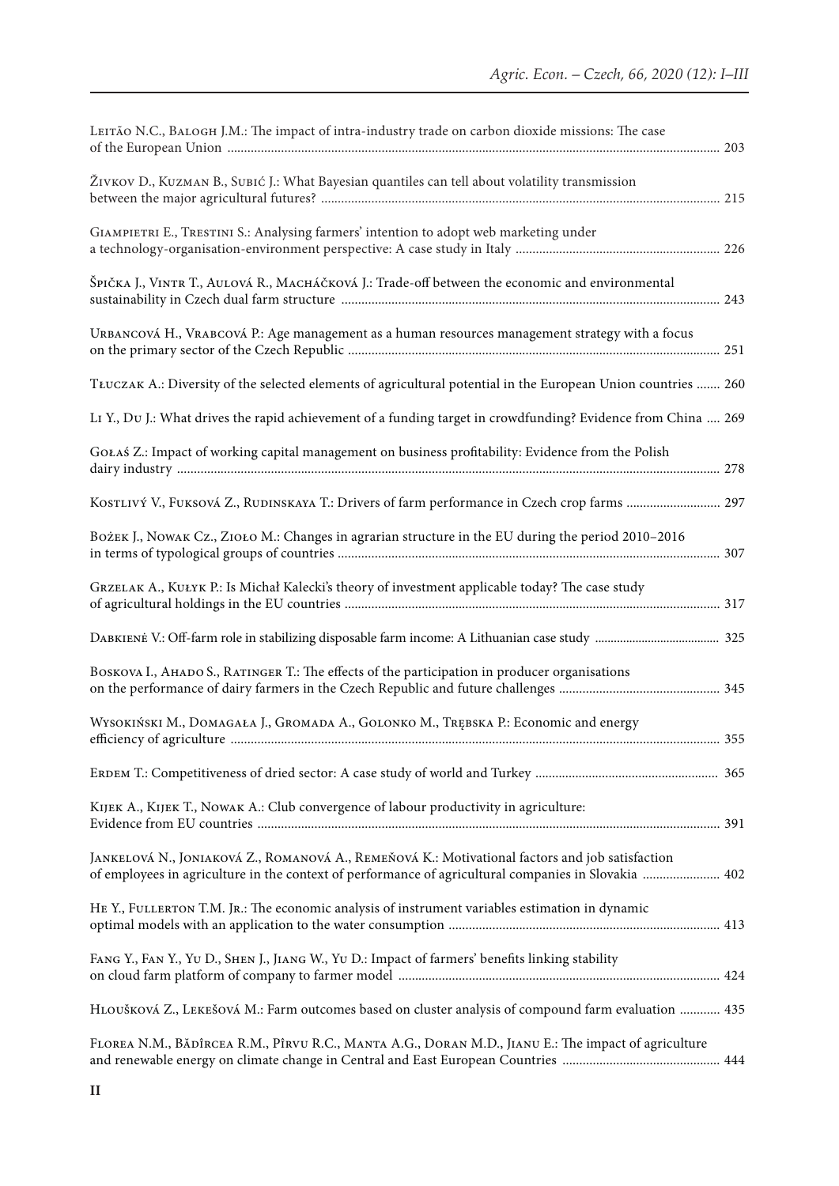| LEITÃO N.C., BALOGH J.M.: The impact of intra-industry trade on carbon dioxide missions: The case                                                                                                       |  |
|---------------------------------------------------------------------------------------------------------------------------------------------------------------------------------------------------------|--|
| ŽIVKOV D., KUZMAN B., SUBIĆ J.: What Bayesian quantiles can tell about volatility transmission                                                                                                          |  |
| GIAMPIETRI E., TRESTINI S.: Analysing farmers' intention to adopt web marketing under                                                                                                                   |  |
| ŠPIČKA J., VINTR T., AULOVÁ R., MACHÁČKOVÁ J.: Trade-off between the economic and environmental                                                                                                         |  |
| URBANCOVÁ H., VRABCOVÁ P.: Age management as a human resources management strategy with a focus                                                                                                         |  |
| TŁUCZAK A.: Diversity of the selected elements of agricultural potential in the European Union countries  260                                                                                           |  |
| LI Y., Du J.: What drives the rapid achievement of a funding target in crowdfunding? Evidence from China  269                                                                                           |  |
| GOŁAŚ Z.: Impact of working capital management on business profitability: Evidence from the Polish                                                                                                      |  |
| KOSTLIVÝ V., FUKSOVÁ Z., RUDINSKAYA T.: Drivers of farm performance in Czech crop farms  297                                                                                                            |  |
| BOŻEK J., NOWAK CZ., ZIOŁO M.: Changes in agrarian structure in the EU during the period 2010-2016                                                                                                      |  |
| GRZELAK A., KUŁYK P.: Is Michał Kalecki's theory of investment applicable today? The case study                                                                                                         |  |
|                                                                                                                                                                                                         |  |
| BOSKOVA I., AHADO S., RATINGER T.: The effects of the participation in producer organisations                                                                                                           |  |
| WYSOKIŃSKI M., DOMAGAŁA J., GROMADA A., GOLONKO M., TRĘBSKA P.: Economic and energy                                                                                                                     |  |
|                                                                                                                                                                                                         |  |
| KIJEK A., KIJEK T., NOWAK A.: Club convergence of labour productivity in agriculture:                                                                                                                   |  |
| JANKELOVÁ N., JONIAKOVÁ Z., ROMANOVÁ A., REMEŇOVÁ K.: Motivational factors and job satisfaction<br>of employees in agriculture in the context of performance of agricultural companies in Slovakia  402 |  |
| HE Y., FULLERTON T.M. JR.: The economic analysis of instrument variables estimation in dynamic                                                                                                          |  |
| FANG Y., FAN Y., YU D., SHEN J., JIANG W., YU D.: Impact of farmers' benefits linking stability                                                                                                         |  |
| HLOUŠKOVÁ Z., LEKEŠOVÁ M.: Farm outcomes based on cluster analysis of compound farm evaluation  435                                                                                                     |  |
| FLOREA N.M., BĂDÎRCEA R.M., PÎRVU R.C., MANTA A.G., DORAN M.D., JIANU E.: The impact of agriculture                                                                                                     |  |